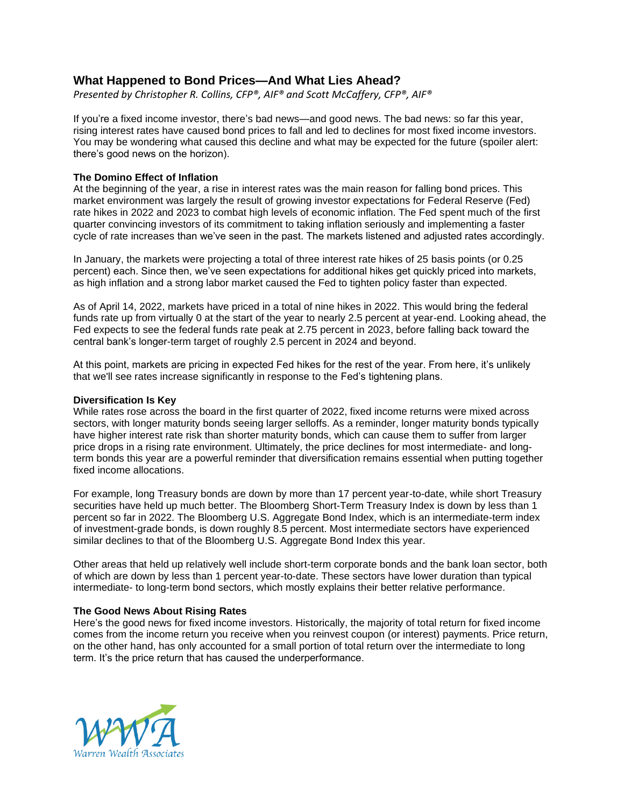# **What Happened to Bond Prices—And What Lies Ahead?**

*Presented by Christopher R. Collins, CFP®, AIF® and Scott McCaffery, CFP®, AIF®*

If you're a fixed income investor, there's bad news—and good news. The bad news: so far this year, rising interest rates have caused bond prices to fall and led to declines for most fixed income investors. You may be wondering what caused this decline and what may be expected for the future (spoiler alert: there's good news on the horizon).

## **The Domino Effect of Inflation**

At the beginning of the year, a rise in interest rates was the main reason for falling bond prices. This market environment was largely the result of growing investor expectations for Federal Reserve (Fed) rate hikes in 2022 and 2023 to combat high levels of economic inflation. The Fed spent much of the first quarter convincing investors of its commitment to taking inflation seriously and implementing a faster cycle of rate increases than we've seen in the past. The markets listened and adjusted rates accordingly.

In January, the markets were projecting a total of three interest rate hikes of 25 basis points (or 0.25 percent) each. Since then, we've seen expectations for additional hikes get quickly priced into markets, as high inflation and a strong labor market caused the Fed to tighten policy faster than expected.

As of April 14, 2022, markets have priced in a total of nine hikes in 2022. This would bring the federal funds rate up from virtually 0 at the start of the year to nearly 2.5 percent at year-end. Looking ahead, the Fed expects to see the federal funds rate peak at 2.75 percent in 2023, before falling back toward the central bank's longer-term target of roughly 2.5 percent in 2024 and beyond.

At this point, markets are pricing in expected Fed hikes for the rest of the year. From here, it's unlikely that we'll see rates increase significantly in response to the Fed's tightening plans.

#### **Diversification Is Key**

While rates rose across the board in the first quarter of 2022, fixed income returns were mixed across sectors, with longer maturity bonds seeing larger selloffs. As a reminder, longer maturity bonds typically have higher interest rate risk than shorter maturity bonds, which can cause them to suffer from larger price drops in a rising rate environment. Ultimately, the price declines for most intermediate- and longterm bonds this year are a powerful reminder that diversification remains essential when putting together fixed income allocations.

For example, long Treasury bonds are down by more than 17 percent year-to-date, while short Treasury securities have held up much better. The Bloomberg Short-Term Treasury Index is down by less than 1 percent so far in 2022. The Bloomberg U.S. Aggregate Bond Index, which is an intermediate-term index of investment-grade bonds, is down roughly 8.5 percent. Most intermediate sectors have experienced similar declines to that of the Bloomberg U.S. Aggregate Bond Index this year.

Other areas that held up relatively well include short-term corporate bonds and the bank loan sector, both of which are down by less than 1 percent year-to-date. These sectors have lower duration than typical intermediate- to long-term bond sectors, which mostly explains their better relative performance.

### **The Good News About Rising Rates**

Here's the good news for fixed income investors. Historically, the majority of total return for fixed income comes from the income return you receive when you reinvest coupon (or interest) payments. Price return, on the other hand, has only accounted for a small portion of total return over the intermediate to long term. It's the price return that has caused the underperformance.